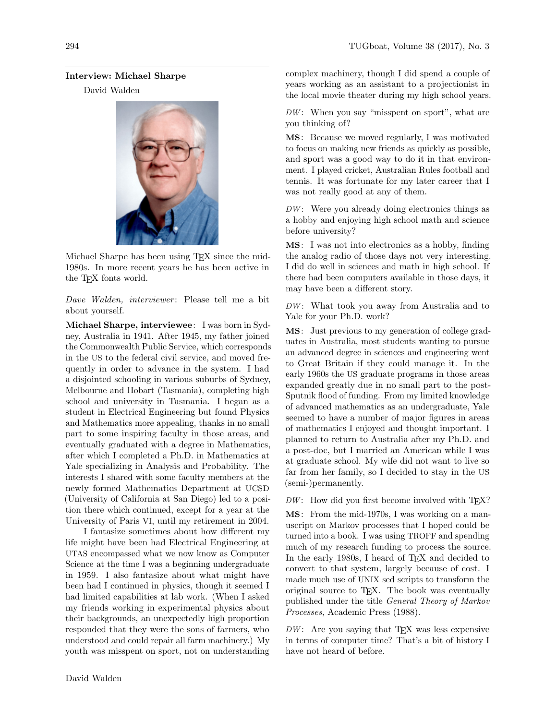## Interview: Michael Sharpe

David Walden



Michael Sharpe has been using T<sub>E</sub>X since the mid-1980s. In more recent years he has been active in the TEX fonts world.

Dave Walden, interviewer: Please tell me a bit about yourself.

Michael Sharpe, interviewee: I was born in Sydney, Australia in 1941. After 1945, my father joined the Commonwealth Public Service, which corresponds in the US to the federal civil service, and moved frequently in order to advance in the system. I had a disjointed schooling in various suburbs of Sydney, Melbourne and Hobart (Tasmania), completing high school and university in Tasmania. I began as a student in Electrical Engineering but found Physics and Mathematics more appealing, thanks in no small part to some inspiring faculty in those areas, and eventually graduated with a degree in Mathematics, after which I completed a Ph.D. in Mathematics at Yale specializing in Analysis and Probability. The interests I shared with some faculty members at the newly formed Mathematics Department at UCSD (University of California at San Diego) led to a position there which continued, except for a year at the University of Paris VI, until my retirement in 2004.

I fantasize sometimes about how different my life might have been had Electrical Engineering at UTAS encompassed what we now know as Computer Science at the time I was a beginning undergraduate in 1959. I also fantasize about what might have been had I continued in physics, though it seemed I had limited capabilities at lab work. (When I asked my friends working in experimental physics about their backgrounds, an unexpectedly high proportion responded that they were the sons of farmers, who understood and could repair all farm machinery.) My youth was misspent on sport, not on understanding

complex machinery, though I did spend a couple of years working as an assistant to a projectionist in the local movie theater during my high school years.

 $DW:$  When you say "misspent on sport", what are you thinking of?

MS: Because we moved regularly, I was motivated to focus on making new friends as quickly as possible, and sport was a good way to do it in that environment. I played cricket, Australian Rules football and tennis. It was fortunate for my later career that I was not really good at any of them.

 $DW:$  Were you already doing electronics things as a hobby and enjoying high school math and science before university?

MS: I was not into electronics as a hobby, finding the analog radio of those days not very interesting. I did do well in sciences and math in high school. If there had been computers available in those days, it may have been a different story.

 $DW:$  What took you away from Australia and to Yale for your Ph.D. work?

MS: Just previous to my generation of college graduates in Australia, most students wanting to pursue an advanced degree in sciences and engineering went to Great Britain if they could manage it. In the early 1960s the US graduate programs in those areas expanded greatly due in no small part to the post-Sputnik flood of funding. From my limited knowledge of advanced mathematics as an undergraduate, Yale seemed to have a number of major figures in areas of mathematics I enjoyed and thought important. I planned to return to Australia after my Ph.D. and a post-doc, but I married an American while I was at graduate school. My wife did not want to live so far from her family, so I decided to stay in the US (semi-)permanently.

 $DW:$  How did you first become involved with TEX?

MS: From the mid-1970s, I was working on a manuscript on Markov processes that I hoped could be turned into a book. I was using TROFF and spending much of my research funding to process the source. In the early 1980s, I heard of T<sub>E</sub>X and decided to convert to that system, largely because of cost. I made much use of UNIX sed scripts to transform the original source to TEX. The book was eventually published under the title General Theory of Markov Processes, Academic Press (1988).

 $DW:$  Are you saying that TEX was less expensive in terms of computer time? That's a bit of history I have not heard of before.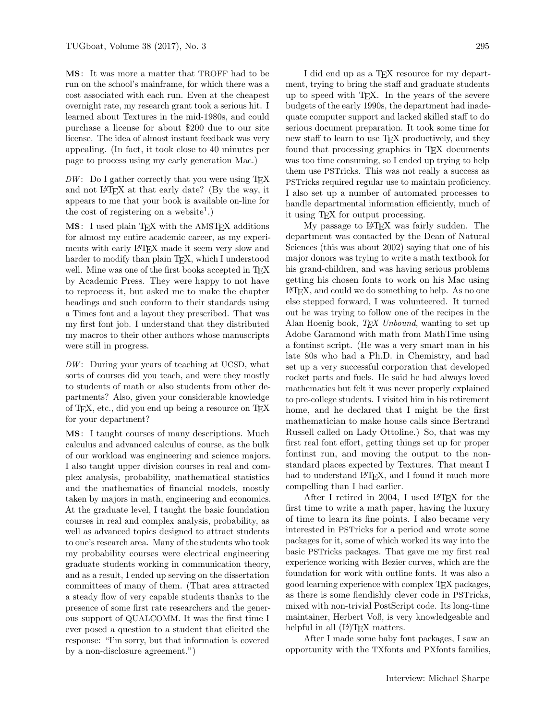MS: It was more a matter that TROFF had to be run on the school's mainframe, for which there was a cost associated with each run. Even at the cheapest overnight rate, my research grant took a serious hit. I learned about Textures in the mid-1980s, and could purchase a license for about \$200 due to our site license. The idea of almost instant feedback was very appealing. (In fact, it took close to 40 minutes per page to process using my early generation Mac.)

 $DW:$  Do I gather correctly that you were using TEX and not LATEX at that early date? (By the way, it appears to me that your book is available on-line for the cost of registering on a website<sup>1</sup>.)

MS: I used plain TEX with the AMSTEX additions for almost my entire academic career, as my experiments with early LATEX made it seem very slow and harder to modify than plain TEX, which I understood well. Mine was one of the first books accepted in TEX by Academic Press. They were happy to not have to reprocess it, but asked me to make the chapter headings and such conform to their standards using a Times font and a layout they prescribed. That was my first font job. I understand that they distributed my macros to their other authors whose manuscripts were still in progress.

 $DW:$  During your years of teaching at UCSD, what sorts of courses did you teach, and were they mostly to students of math or also students from other departments? Also, given your considerable knowledge of TEX, etc., did you end up being a resource on TEX for your department?

MS: I taught courses of many descriptions. Much calculus and advanced calculus of course, as the bulk of our workload was engineering and science majors. I also taught upper division courses in real and complex analysis, probability, mathematical statistics and the mathematics of financial models, mostly taken by majors in math, engineering and economics. At the graduate level, I taught the basic foundation courses in real and complex analysis, probability, as well as advanced topics designed to attract students to one's research area. Many of the students who took my probability courses were electrical engineering graduate students working in communication theory, and as a result, I ended up serving on the dissertation committees of many of them. (That area attracted a steady flow of very capable students thanks to the presence of some first rate researchers and the generous support of QUALCOMM. It was the first time I ever posed a question to a student that elicited the response: "I'm sorry, but that information is covered by a non-disclosure agreement.")

I did end up as a TEX resource for my department, trying to bring the staff and graduate students up to speed with TEX. In the years of the severe budgets of the early 1990s, the department had inadequate computer support and lacked skilled staff to do serious document preparation. It took some time for new staff to learn to use T<sub>EX</sub> productively, and they found that processing graphics in TEX documents was too time consuming, so I ended up trying to help them use PSTricks. This was not really a success as PSTricks required regular use to maintain proficiency. I also set up a number of automated processes to handle departmental information efficiently, much of it using TEX for output processing.

My passage to LATEX was fairly sudden. The department was contacted by the Dean of Natural Sciences (this was about 2002) saying that one of his major donors was trying to write a math textbook for his grand-children, and was having serious problems getting his chosen fonts to work on his Mac using  $\text{LATEX}$ , and could we do something to help. As no one else stepped forward, I was volunteered. It turned out he was trying to follow one of the recipes in the Alan Hoenig book,  $T \n F X$  Unbound, wanting to set up Adobe Garamond with math from MathTime using a fontinst script. (He was a very smart man in his late 80s who had a Ph.D. in Chemistry, and had set up a very successful corporation that developed rocket parts and fuels. He said he had always loved mathematics but felt it was never properly explained to pre-college students. I visited him in his retirement home, and he declared that I might be the first mathematician to make house calls since Bertrand Russell called on Lady Ottoline.) So, that was my first real font effort, getting things set up for proper fontinst run, and moving the output to the nonstandard places expected by Textures. That meant I had to understand IATEX, and I found it much more compelling than I had earlier.

After I retired in 2004, I used LAT<sub>F</sub>X for the first time to write a math paper, having the luxury of time to learn its fine points. I also became very interested in PSTricks for a period and wrote some packages for it, some of which worked its way into the basic PSTricks packages. That gave me my first real experience working with Bezier curves, which are the foundation for work with outline fonts. It was also a good learning experience with complex TEX packages, as there is some fiendishly clever code in PSTricks, mixed with non-trivial PostScript code. Its long-time maintainer, Herbert Voß, is very knowledgeable and helpful in all (LA)T<sub>EX</sub> matters.

After I made some baby font packages, I saw an opportunity with the TXfonts and PXfonts families,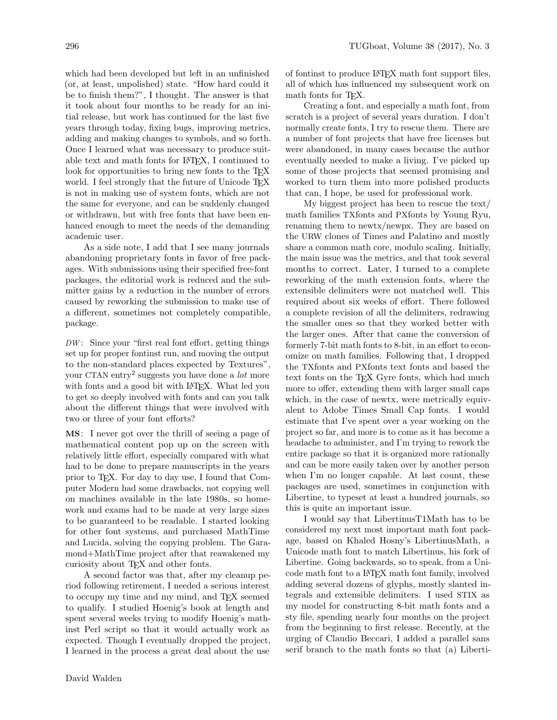which had been developed but left in an unfinished (or, at least, unpolished) state. "How hard could it be to finish them?", I thought. The answer is that it took about four months to be ready for an initial release, but work has continued for the last five years through today, fixing bugs, improving metrics, adding and making changes to symbols, and so forth. Once I learned what was necessary to produce suitable text and math fonts for LATEX, I continued to look for opportunities to bring new fonts to the T<sub>E</sub>X world. I feel strongly that the future of Unicode TFX is not in making use of system fonts, which are not the same for everyone, and can be suddenly changed or withdrawn, but with free fonts that have been enhanced enough to meet the needs of the demanding academic user.

As a side note, I add that I see many journals abandoning proprietary fonts in favor of free packages. With submissions using their specified free-font packages, the editorial work is reduced and the submitter gains by a reduction in the number of errors caused by reworking the submission to make use of a different, sometimes not completely compatible, package.

 $DW:$  Since your "first real font effort, getting things set up for proper fontinst run, and moving the output to the non-standard places expected by Textures", your CTAN entry<sup>2</sup> suggests you have done a *lot* more with fonts and a good bit with LAT<sub>EX</sub>. What led you to get so deeply involved with fonts and can you talk about the different things that were involved with two or three of your font efforts?

MS: I never got over the thrill of seeing a page of mathematical content pop up on the screen with relatively little effort, especially compared with what had to be done to prepare manuscripts in the years prior to TEX. For day to day use, I found that Computer Modern had some drawbacks, not copying well on machines available in the late 1980s, so homework and exams had to be made at very large sizes to be guaranteed to be readable. I started looking for other font systems, and purchased MathTime and Lucida, solving the copying problem. The Garamond+MathTime project after that reawakened my curiosity about TEX and other fonts.

A second factor was that, after my cleanup period following retirement, I needed a serious interest to occupy my time and my mind, and TEX seemed to qualify. I studied Hoenig's book at length and spent several weeks trying to modify Hoenig's mathinst Perl script so that it would actually work as expected. Though I eventually dropped the project, I learned in the process a great deal about the use

of fontinst to produce LATEX math font support files, all of which has influenced my subsequent work on math fonts for TEX.

Creating a font, and especially a math font, from scratch is a project of several years duration. I don't normally create fonts, I try to rescue them. There are a number of font projects that have free licenses but were abandoned, in many cases because the author eventually needed to make a living. I've picked up some of those projects that seemed promising and worked to turn them into more polished products that can, I hope, be used for professional work.

My biggest project has been to rescue the text/ math families TXfonts and PXfonts by Young Ryu, renaming them to newtx/newpx. They are based on the URW clones of Times and Palatino and mostly share a common math core, modulo scaling. Initially, the main issue was the metrics, and that took several months to correct. Later, I turned to a complete reworking of the math extension fonts, where the extensible delimiters were not matched well. This required about six weeks of effort. There followed a complete revision of all the delimiters, redrawing the smaller ones so that they worked better with the larger ones. After that came the conversion of formerly 7-bit math fonts to 8-bit, in an effort to economize on math families. Following that, I dropped the TXfonts and PXfonts text fonts and based the text fonts on the TEX Gyre fonts, which had much more to offer, extending them with larger small caps which, in the case of newtx, were metrically equivalent to Adobe Times Small Cap fonts. I would estimate that I've spent over a year working on the project so far, and more is to come as it has become a headache to administer, and I'm trying to rework the entire package so that it is organized more rationally and can be more easily taken over by another person when I'm no longer capable. At last count, these packages are used, sometimes in conjunction with Libertine, to typeset at least a hundred journals, so this is quite an important issue.

I would say that LibertinusT1Math has to be considered my next most important math font package, based on Khaled Hosny's LibertinusMath, a Unicode math font to match Libertinus, his fork of Libertine. Going backwards, so to speak, from a Unicode math font to a LATEX math font family, involved adding several dozens of glyphs, mostly slanted integrals and extensible delimiters. I used STIX as my model for constructing 8-bit math fonts and a sty file, spending nearly four months on the project from the beginning to first release. Recently, at the urging of Claudio Beccari, I added a parallel sans serif branch to the math fonts so that (a) Liberti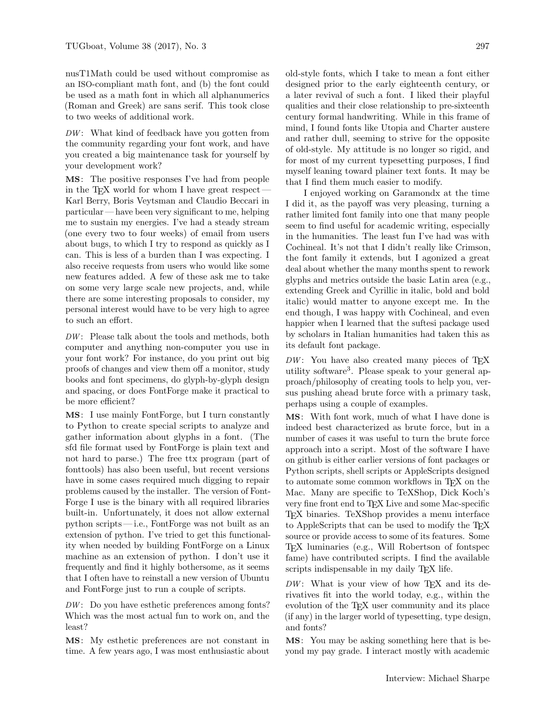nusT1Math could be used without compromise as an ISO-compliant math font, and (b) the font could be used as a math font in which all alphanumerics (Roman and Greek) are sans serif. This took close to two weeks of additional work.

 $DW:$  What kind of feedback have you gotten from the community regarding your font work, and have you created a big maintenance task for yourself by your development work?

MS: The positive responses I've had from people in the TEX world for whom I have great respect— Karl Berry, Boris Veytsman and Claudio Beccari in particular — have been very significant to me, helping me to sustain my energies. I've had a steady stream (one every two to four weeks) of email from users about bugs, to which I try to respond as quickly as I can. This is less of a burden than I was expecting. I also receive requests from users who would like some new features added. A few of these ask me to take on some very large scale new projects, and, while there are some interesting proposals to consider, my personal interest would have to be very high to agree to such an effort.

 $DW:$  Please talk about the tools and methods, both computer and anything non-computer you use in your font work? For instance, do you print out big proofs of changes and view them off a monitor, study books and font specimens, do glyph-by-glyph design and spacing, or does FontForge make it practical to be more efficient?

MS: I use mainly FontForge, but I turn constantly to Python to create special scripts to analyze and gather information about glyphs in a font. (The sfd file format used by FontForge is plain text and not hard to parse.) The free ttx program (part of fonttools) has also been useful, but recent versions have in some cases required much digging to repair problems caused by the installer. The version of Font-Forge I use is the binary with all required libraries built-in. Unfortunately, it does not allow external python scripts — i.e., FontForge was not built as an extension of python. I've tried to get this functionality when needed by building FontForge on a Linux machine as an extension of python. I don't use it frequently and find it highly bothersome, as it seems that I often have to reinstall a new version of Ubuntu and FontForge just to run a couple of scripts.

 $DW:$  Do you have esthetic preferences among fonts? Which was the most actual fun to work on, and the least?

MS: My esthetic preferences are not constant in time. A few years ago, I was most enthusiastic about old-style fonts, which I take to mean a font either designed prior to the early eighteenth century, or a later revival of such a font. I liked their playful qualities and their close relationship to pre-sixteenth century formal handwriting. While in this frame of mind, I found fonts like Utopia and Charter austere and rather dull, seeming to strive for the opposite of old-style. My attitude is no longer so rigid, and for most of my current typesetting purposes, I find myself leaning toward plainer text fonts. It may be that I find them much easier to modify.

I enjoyed working on Garamondx at the time I did it, as the payoff was very pleasing, turning a rather limited font family into one that many people seem to find useful for academic writing, especially in the humanities. The least fun I've had was with Cochineal. It's not that I didn't really like Crimson, the font family it extends, but I agonized a great deal about whether the many months spent to rework glyphs and metrics outside the basic Latin area (e.g., extending Greek and Cyrillic in italic, bold and bold italic) would matter to anyone except me. In the end though, I was happy with Cochineal, and even happier when I learned that the suftesi package used by scholars in Italian humanities had taken this as its default font package.

 $DW:$  You have also created many pieces of TEX utility software<sup>3</sup>. Please speak to your general approach/philosophy of creating tools to help you, versus pushing ahead brute force with a primary task, perhaps using a couple of examples.

MS: With font work, much of what I have done is indeed best characterized as brute force, but in a number of cases it was useful to turn the brute force approach into a script. Most of the software I have on github is either earlier versions of font packages or Python scripts, shell scripts or AppleScripts designed to automate some common workflows in TEX on the Mac. Many are specific to TeXShop, Dick Koch's very fine front end to TEX Live and some Mac-specific TEX binaries. TeXShop provides a menu interface to AppleScripts that can be used to modify the TEX source or provide access to some of its features. Some TEX luminaries (e.g., Will Robertson of fontspec fame) have contributed scripts. I find the available scripts indispensable in my daily T<sub>E</sub>X life.

 $DW:$  What is your view of how TEX and its derivatives fit into the world today, e.g., within the evolution of the T<sub>EX</sub> user community and its place (if any) in the larger world of typesetting, type design, and fonts?

MS: You may be asking something here that is beyond my pay grade. I interact mostly with academic